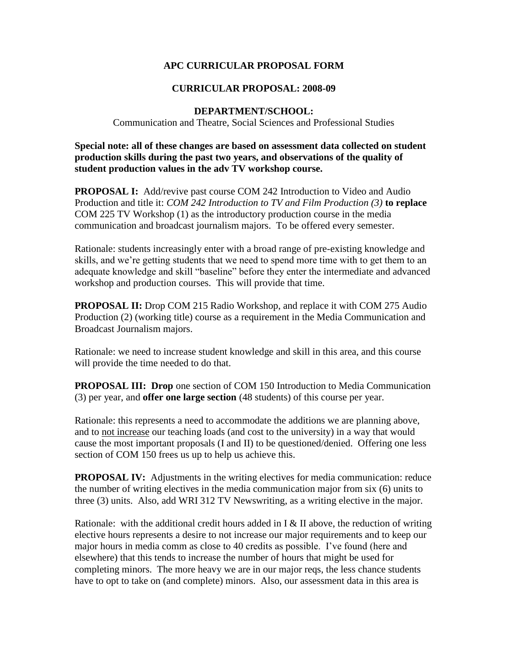## **APC CURRICULAR PROPOSAL FORM**

## **CURRICULAR PROPOSAL: 2008-09**

## **DEPARTMENT/SCHOOL:**

Communication and Theatre, Social Sciences and Professional Studies

**Special note: all of these changes are based on assessment data collected on student production skills during the past two years, and observations of the quality of student production values in the adv TV workshop course.** 

**PROPOSAL I:** Add/revive past course COM 242 Introduction to Video and Audio Production and title it: *COM 242 Introduction to TV and Film Production (3)* **to replace** COM 225 TV Workshop (1) as the introductory production course in the media communication and broadcast journalism majors. To be offered every semester.

Rationale: students increasingly enter with a broad range of pre-existing knowledge and skills, and we're getting students that we need to spend more time with to get them to an adequate knowledge and skill "baseline" before they enter the intermediate and advanced workshop and production courses. This will provide that time.

**PROPOSAL II:** Drop COM 215 Radio Workshop, and replace it with COM 275 Audio Production (2) (working title) course as a requirement in the Media Communication and Broadcast Journalism majors.

Rationale: we need to increase student knowledge and skill in this area, and this course will provide the time needed to do that.

**PROPOSAL III: Drop** one section of COM 150 Introduction to Media Communication (3) per year, and **offer one large section** (48 students) of this course per year.

Rationale: this represents a need to accommodate the additions we are planning above, and to not increase our teaching loads (and cost to the university) in a way that would cause the most important proposals (I and II) to be questioned/denied. Offering one less section of COM 150 frees us up to help us achieve this.

**PROPOSAL IV:** Adjustments in the writing electives for media communication: reduce the number of writing electives in the media communication major from six (6) units to three (3) units. Also, add WRI 312 TV Newswriting, as a writing elective in the major.

Rationale: with the additional credit hours added in I & II above, the reduction of writing elective hours represents a desire to not increase our major requirements and to keep our major hours in media comm as close to 40 credits as possible. I've found (here and elsewhere) that this tends to increase the number of hours that might be used for completing minors. The more heavy we are in our major reqs, the less chance students have to opt to take on (and complete) minors. Also, our assessment data in this area is